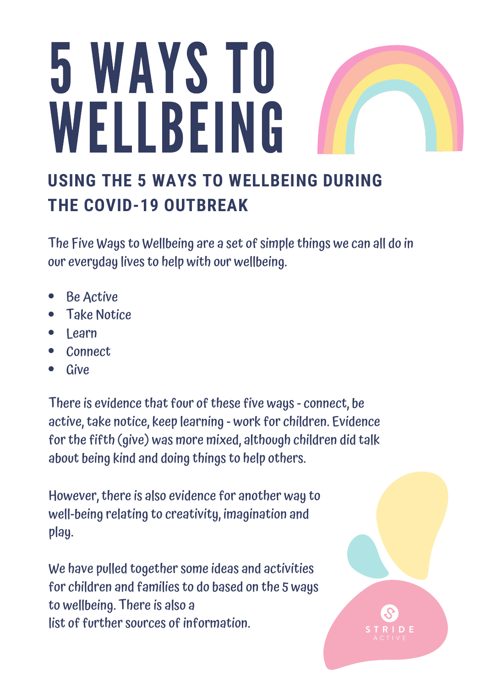# 5 WAYS TO WELLBEING

### **USING THE 5 WAYS TO WELLBEING DURING THE COVID-19 OUTBREAK**

The Five Ways to Wellbeing are a set of simple things we can all do in our everyday lives to help with our wellbeing.

- Be Active
- Take Notice
- Learn
- Connect
- Give

There is evidence that four of these five ways - connect, be active, take notice, keep learning - work for children. Evidence for the fifth (give) was more mixed, although children did talk about being kind and doing things to help others.

However, there is also evidence for another way to well-being relating to creativity, imagination and play.

We have pulled together some ideas and activities for children and families to do based on the 5 ways to wellbeing. There is also a list of further sources of information.

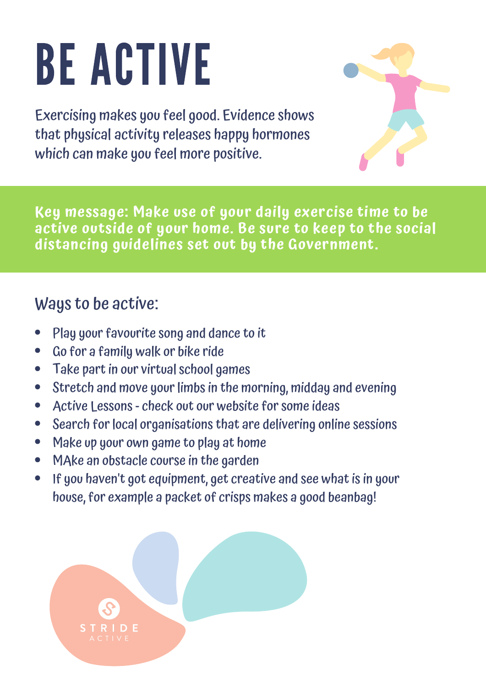# BE ACTIVE

Exercising makes you feel good. Evidence shows that physical activity releases happy hormones which can make you feel more positive.



#### Ways to be active:

- Play your favourite song and dance to it
- Go for a family walk or bike ride  $\bullet$
- Take part in our virtual school games  $\bullet$
- Stretch and move your limbs in the morning, midday and evening  $\bullet$
- Active Lessons check out our website for some ideas  $\bullet$
- Search for local organisations that are delivering online sessions  $\bullet$
- Make up your own game to play at home  $\bullet$
- MAke an obstacle course in the garden  $\bullet$
- If you haven't got equipment, get creative and see what is in your  $\bullet$ house, for example a packet of crisps makes a good beanbag!

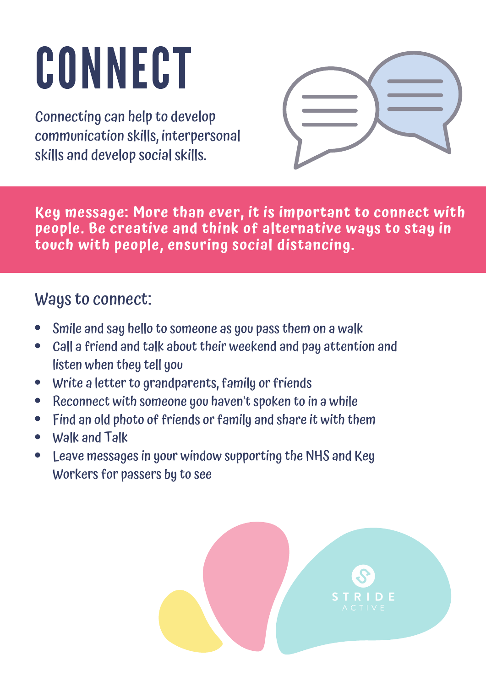## CONNECT

Connecting can help to develop communication skills, interpersonal skills and develop social skills.



**Key message: More than ever, it is important to connect with people. Be creative and think of alternative ways to stay in touch with people, ensuring social distancing.**

#### Ways to connect:

- Smile and say hello to someone as you pass them on a walk
- Call a friend and talk about their weekend and pay attention and listen when they tell you
- Write a letter to grandparents, family or friends
- Reconnect with someone you haven't spoken to in a while  $\bullet$
- Find an old photo of friends or family and share it with them  $\bullet$
- Walk and Talk
- Leave messages in your window supporting the NHS and Key Workers for passers by to see

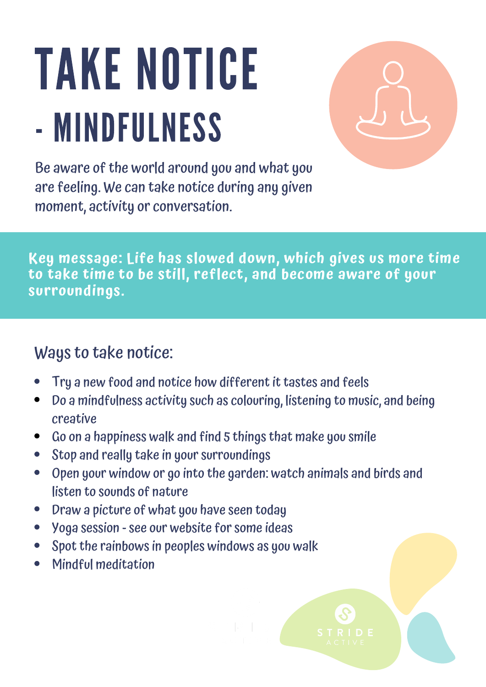### TAKE NOTICE - MINDFULNESS



Be aware of the world around you and what you are feeling. We can take notice during any given moment, activity or conversation.

**Key message: Life has slowed down, which gives us more time to take time to be still, reflect, and become aware of your surroundings.**

#### Ways to take notice:

- Try a new food and notice how different it tastes and feels
- Do a mindfulness activity such as colouring, listening to music, and being  $\bullet$ creative
- Go on a happiness walk and find 5 things that make you smile  $\bullet$
- Stop and really take in your surroundings  $\bullet$
- Open your window or go into the garden: watch animals and birds and  $\bullet$ listen to sounds of nature
- Draw a picture of what you have seen today  $\bullet$
- Yoga session see our website for some ideas  $\bullet$
- Spot the rainbows in peoples windows as you walk
- Mindful meditation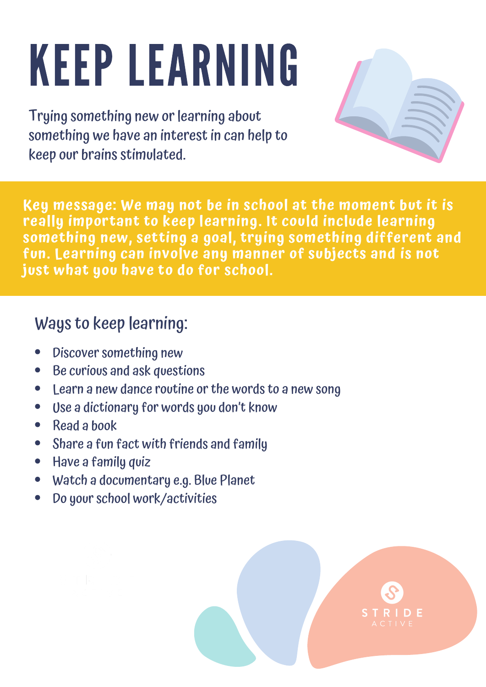# KEEP LEARNING

Trying something new or learning about something we have an interest in can help to keep our brains stimulated.



**Key message: We may not be in school at the moment but it is really important to keep learning. It could include learning something new, setting a goal, trying something different and fun. Learning can involve any manner of subjects and is not just what you have to do for school.**

### Ways to keep learning:

- Discover something new
- Be curious and ask questions
- Learn a new dance routine or the words to a new song  $\bullet$
- Use a dictionary for words you don't know  $\bullet$
- Read a book  $\bullet$
- Share a fun fact with friends and family  $\bullet$
- Have a family quiz  $\bullet$
- Watch a documentary e.g. Blue Planet
- Do your school work/activities



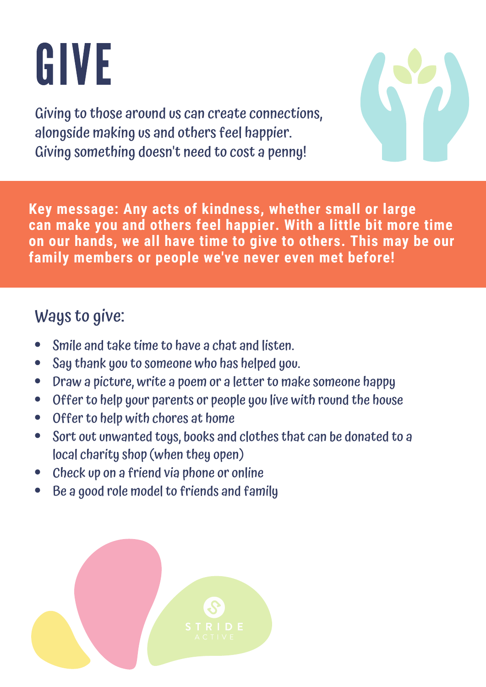### GIVE

Giving to those around us can create connections, alongside making us and others feel happier. Giving something doesn't need to cost a penny!



**Key message: Any acts of kindness, whether small or large can make you and others feel happier. With a little bit more time on our hands, we all have time to give to others. This may be our family members or people we've never even met before!**

#### Ways to give:

- Smile and take time to have a chat and listen.
- Say thank you to someone who has helped you.  $\bullet$
- Draw a picture, write a poem or a letter to make someone happy  $\bullet$
- Offer to help your parents or people you live with round the house  $\bullet$
- Offer to help with chores at home  $\bullet$
- Sort out unwanted toys, books and clothes that can be donated to a  $\bullet$ local charity shop (when they open)
- Check up on a friend via phone or online
- Be a good role model to friends and family

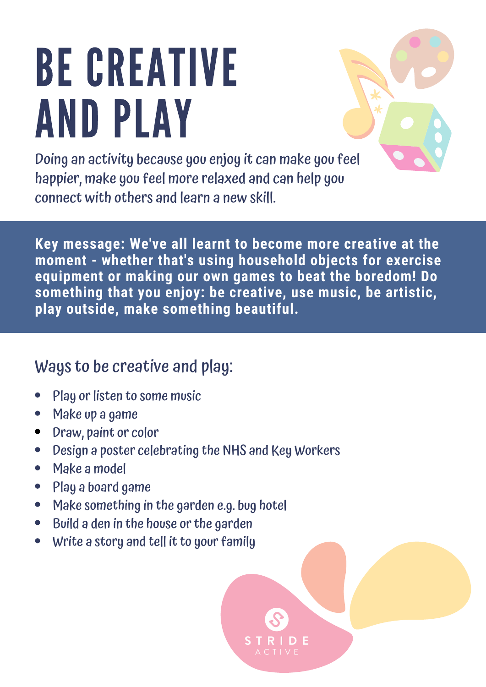### BE CREATIVE AND PLAY



Doing an activity because you enjoy it can make you feel happier, make you feel more relaxed and can help you connect with others and learn a new skill.

**Key message: We've all learnt to become more creative at the moment - whether that's using household objects for exercise equipment or making our own games to beat the boredom! Do something that you enjoy: be creative, use music, be artistic, play outside, make something beautiful.**

### Ways to be creative and play:

- Play or listen to some music
- Make up a game  $\bullet$
- Draw, paint or color  $\bullet$
- Design a poster celebrating the NHS and Key Workers  $\bullet$
- Make a model  $\bullet$
- Play a board game  $\bullet$
- Make something in the garden e.g. bug hotel  $\bullet$
- Build a den in the house or the garden  $\bullet$
- Write a story and tell it to your family  $\bullet$